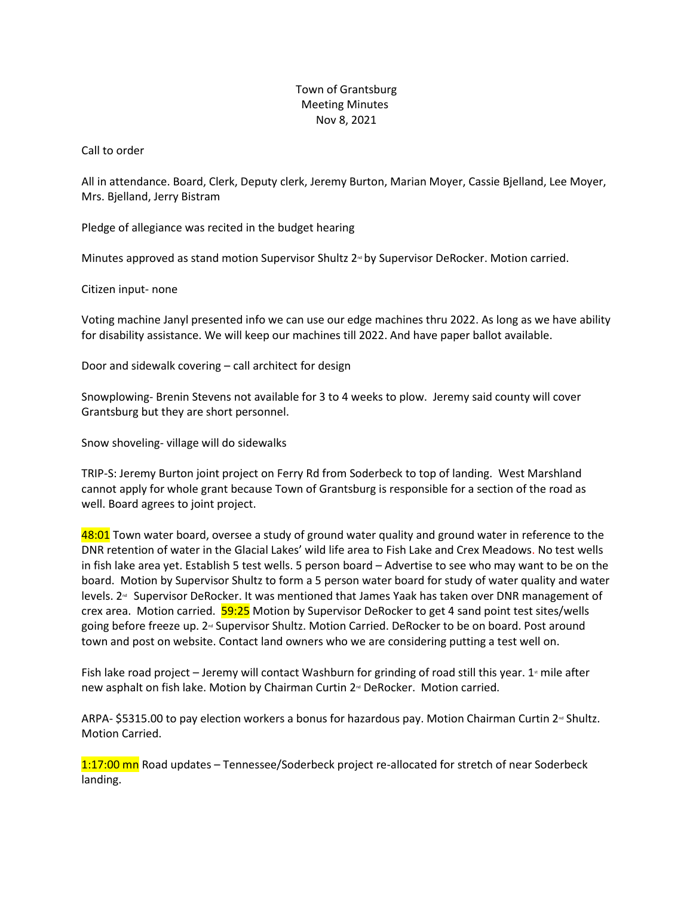## Town of Grantsburg Meeting Minutes Nov 8, 2021

## Call to order

All in attendance. Board, Clerk, Deputy clerk, Jeremy Burton, Marian Moyer, Cassie Bjelland, Lee Moyer, Mrs. Bjelland, Jerry Bistram

Pledge of allegiance was recited in the budget hearing

Minutes approved as stand motion Supervisor Shultz  $2<sup>m</sup>$  by Supervisor DeRocker. Motion carried.

Citizen input- none

Voting machine Janyl presented info we can use our edge machines thru 2022. As long as we have ability for disability assistance. We will keep our machines till 2022. And have paper ballot available.

Door and sidewalk covering – call architect for design

Snowplowing- Brenin Stevens not available for 3 to 4 weeks to plow. Jeremy said county will cover Grantsburg but they are short personnel.

Snow shoveling- village will do sidewalks

TRIP-S: Jeremy Burton joint project on Ferry Rd from Soderbeck to top of landing. West Marshland cannot apply for whole grant because Town of Grantsburg is responsible for a section of the road as well. Board agrees to joint project.

48:01 Town water board, oversee a study of ground water quality and ground water in reference to the DNR retention of water in the Glacial Lakes' wild life area to Fish Lake and Crex Meadows. No test wells in fish lake area yet. Establish 5 test wells. 5 person board – Advertise to see who may want to be on the board. Motion by Supervisor Shultz to form a 5 person water board for study of water quality and water levels. 2<sup>™</sup> Supervisor DeRocker. It was mentioned that James Yaak has taken over DNR management of crex area. Motion carried. 59:25 Motion by Supervisor DeRocker to get 4 sand point test sites/wells going before freeze up. 2<sup>nd</sup> Supervisor Shultz. Motion Carried. DeRocker to be on board. Post around town and post on website. Contact land owners who we are considering putting a test well on.

Fish lake road project – Jeremy will contact Washburn for grinding of road still this year.  $1$  mile after new asphalt on fish lake. Motion by Chairman Curtin 2<sup>nd</sup> DeRocker. Motion carried.

ARPA- \$5315.00 to pay election workers a bonus for hazardous pay. Motion Chairman Curtin  $2<sup>\omega</sup>$  Shultz. Motion Carried.

1:17:00 mn Road updates – Tennessee/Soderbeck project re-allocated for stretch of near Soderbeck landing.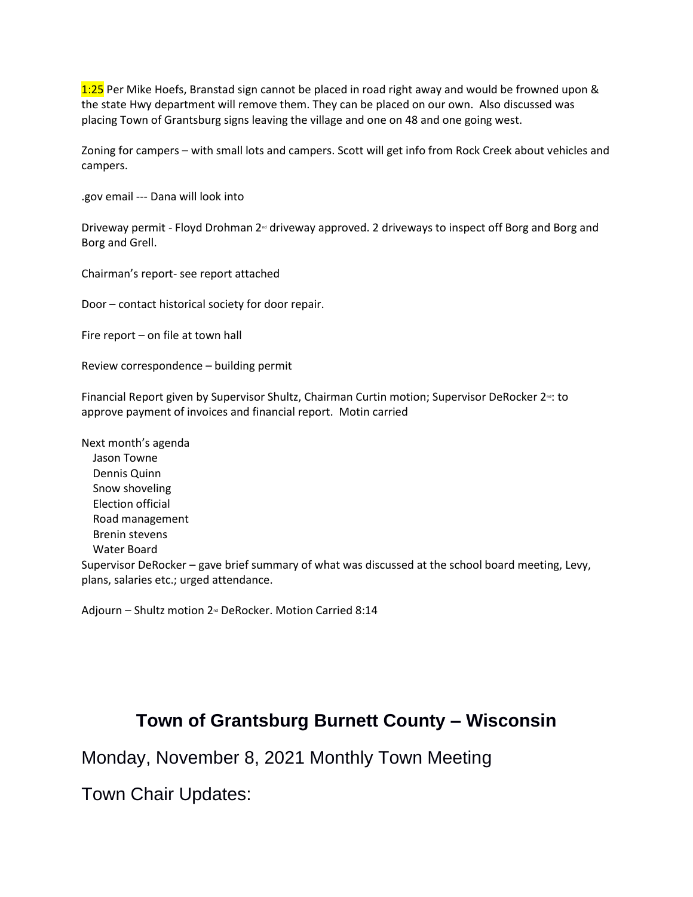1:25 Per Mike Hoefs, Branstad sign cannot be placed in road right away and would be frowned upon & the state Hwy department will remove them. They can be placed on our own. Also discussed was placing Town of Grantsburg signs leaving the village and one on 48 and one going west.

Zoning for campers – with small lots and campers. Scott will get info from Rock Creek about vehicles and campers.

.gov email --- Dana will look into

Driveway permit - Floyd Drohman 2<sup>®</sup> driveway approved. 2 driveways to inspect off Borg and Borg and Borg and Grell.

Chairman's report- see report attached

Door – contact historical society for door repair.

Fire report – on file at town hall

Review correspondence – building permit

Financial Report given by Supervisor Shultz, Chairman Curtin motion; Supervisor DeRocker  $2<sup>nd</sup>$ : to approve payment of invoices and financial report. Motin carried

Next month's agenda Jason Towne Dennis Quinn Snow shoveling Election official Road management Brenin stevens Water Board Supervisor DeRocker – gave brief summary of what was discussed at the school board meeting, Levy, plans, salaries etc.; urged attendance.

Adjourn – Shultz motion 2<sup>nd</sup> DeRocker. Motion Carried 8:14

## **Town of Grantsburg Burnett County – Wisconsin**

Monday, November 8, 2021 Monthly Town Meeting

Town Chair Updates: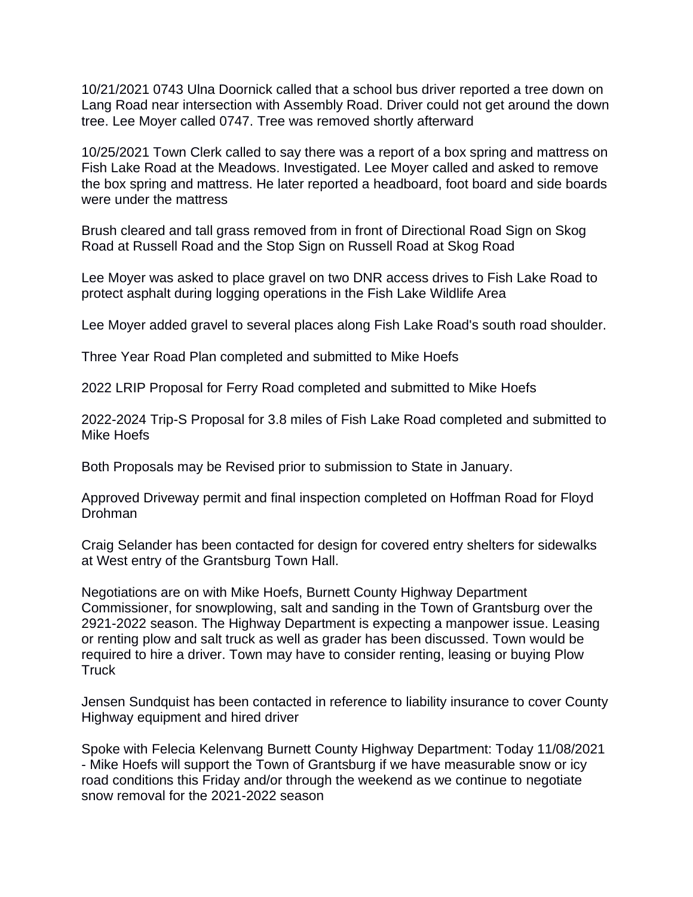10/21/2021 0743 Ulna Doornick called that a school bus driver reported a tree down on Lang Road near intersection with Assembly Road. Driver could not get around the down tree. Lee Moyer called 0747. Tree was removed shortly afterward

10/25/2021 Town Clerk called to say there was a report of a box spring and mattress on Fish Lake Road at the Meadows. Investigated. Lee Moyer called and asked to remove the box spring and mattress. He later reported a headboard, foot board and side boards were under the mattress

Brush cleared and tall grass removed from in front of Directional Road Sign on Skog Road at Russell Road and the Stop Sign on Russell Road at Skog Road

Lee Moyer was asked to place gravel on two DNR access drives to Fish Lake Road to protect asphalt during logging operations in the Fish Lake Wildlife Area

Lee Moyer added gravel to several places along Fish Lake Road's south road shoulder.

Three Year Road Plan completed and submitted to Mike Hoefs

2022 LRIP Proposal for Ferry Road completed and submitted to Mike Hoefs

2022-2024 Trip-S Proposal for 3.8 miles of Fish Lake Road completed and submitted to Mike Hoefs

Both Proposals may be Revised prior to submission to State in January.

Approved Driveway permit and final inspection completed on Hoffman Road for Floyd Drohman

Craig Selander has been contacted for design for covered entry shelters for sidewalks at West entry of the Grantsburg Town Hall.

Negotiations are on with Mike Hoefs, Burnett County Highway Department Commissioner, for snowplowing, salt and sanding in the Town of Grantsburg over the 2921-2022 season. The Highway Department is expecting a manpower issue. Leasing or renting plow and salt truck as well as grader has been discussed. Town would be required to hire a driver. Town may have to consider renting, leasing or buying Plow **Truck** 

Jensen Sundquist has been contacted in reference to liability insurance to cover County Highway equipment and hired driver

Spoke with Felecia Kelenvang Burnett County Highway Department: Today 11/08/2021 - Mike Hoefs will support the Town of Grantsburg if we have measurable snow or icy road conditions this Friday and/or through the weekend as we continue to negotiate snow removal for the 2021-2022 season